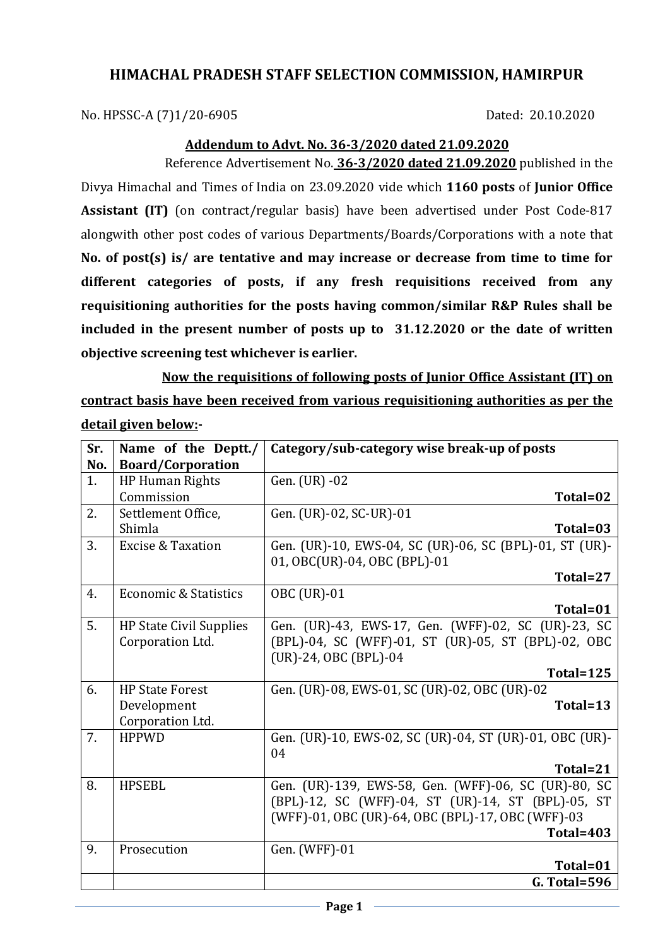## **HIMACHAL PRADESH STAFF SELECTION COMMISSION, HAMIRPUR**

No. HPSSC-A (7)1/20-6905 Dated: 20.10.2020

## **Addendum to Advt. No. 36-3/2020 dated 21.09.2020**

Reference Advertisement No. **36-3/2020 dated 21.09.2020** published in the Divya Himachal and Times of India on 23.09.2020 vide which **1160 posts** of **Junior Office Assistant (IT)** (on contract/regular basis) have been advertised under Post Code-817 alongwith other post codes of various Departments/Boards/Corporations with a note that **No. of post(s) is/ are tentative and may increase or decrease from time to time for different categories of posts, if any fresh requisitions received from any requisitioning authorities for the posts having common/similar R&P Rules shall be included in the present number of posts up to 31.12.2020 or the date of written objective screening test whichever is earlier.**

**Now the requisitions of following posts of Junior Office Assistant (IT) on contract basis have been received from various requisitioning authorities as per the detail given below:-**

| Sr. | Name of the Deptt./            | Category/sub-category wise break-up of posts            |
|-----|--------------------------------|---------------------------------------------------------|
| No. | <b>Board/Corporation</b>       |                                                         |
| 1.  | <b>HP Human Rights</b>         | Gen. (UR) -02                                           |
|     | Commission                     | Total=02                                                |
| 2.  | Settlement Office,             | Gen. (UR)-02, SC-UR)-01                                 |
|     | Shimla                         | Total=03                                                |
| 3.  | <b>Excise &amp; Taxation</b>   | Gen. (UR)-10, EWS-04, SC (UR)-06, SC (BPL)-01, ST (UR)- |
|     |                                | 01, OBC(UR)-04, OBC (BPL)-01                            |
|     |                                | Total=27                                                |
| 4.  | Economic & Statistics          | <b>OBC</b> (UR)-01                                      |
|     |                                | Total=01                                                |
| 5.  | <b>HP State Civil Supplies</b> | Gen. (UR)-43, EWS-17, Gen. (WFF)-02, SC (UR)-23, SC     |
|     | Corporation Ltd.               | (BPL)-04, SC (WFF)-01, ST (UR)-05, ST (BPL)-02, OBC     |
|     |                                | (UR)-24, OBC (BPL)-04                                   |
|     |                                | Total=125                                               |
| 6.  | <b>HP State Forest</b>         | Gen. (UR)-08, EWS-01, SC (UR)-02, OBC (UR)-02           |
|     | Development                    | Total=13                                                |
|     | Corporation Ltd.               |                                                         |
| 7.  | <b>HPPWD</b>                   | Gen. (UR)-10, EWS-02, SC (UR)-04, ST (UR)-01, OBC (UR)- |
|     |                                | 04                                                      |
|     |                                | Total=21                                                |
| 8.  | <b>HPSEBL</b>                  | Gen. (UR)-139, EWS-58, Gen. (WFF)-06, SC (UR)-80, SC    |
|     |                                | (BPL)-12, SC (WFF)-04, ST (UR)-14, ST (BPL)-05, ST      |
|     |                                | (WFF)-01, OBC (UR)-64, OBC (BPL)-17, OBC (WFF)-03       |
|     |                                | Total=403                                               |
| 9.  | Prosecution                    | Gen. (WFF)-01                                           |
|     |                                | Total=01                                                |
|     |                                | <b>G. Total=596</b>                                     |